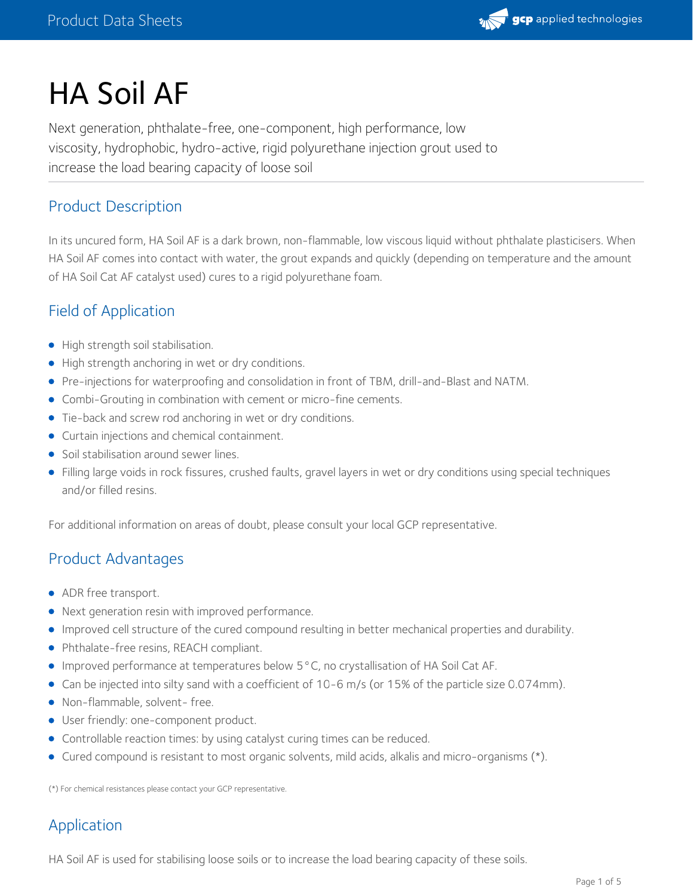

# HA Soil AF

Next generation, phthalate-free, one-component, high performance, low viscosity, hydrophobic, hydro-active, rigid polyurethane injection grout used to increase the load bearing capacity of loose soil

# Product Description

In its uncured form, HA Soil AF is a dark brown, non-flammable, low viscous liquid without phthalate plasticisers. When HA Soil AF comes into contact with water, the grout expands and quickly (depending on temperature and the amount of HA Soil Cat AF catalyst used) cures to a rigid polyurethane foam.

# Field of Application

- High strength soil stabilisation.
- High strength anchoring in wet or dry conditions.
- Pre-injections for waterproofing and consolidation in front of TBM, drill-and-Blast and NATM.
- Combi-Grouting in combination with cement or micro-fine cements.
- Tie-back and screw rod anchoring in wet or dry conditions.
- **Curtain injections and chemical containment.**
- Soil stabilisation around sewer lines.
- Filling large voids in rock fissures, crushed faults, gravel layers in wet or dry conditions using special techniques and/or filled resins.

For additional information on areas of doubt, please consult your local GCP representative.

## Product Advantages

- ADR free transport.
- Next generation resin with improved performance.
- Improved cell structure of the cured compound resulting in better mechanical properties and durability.
- Phthalate-free resins, REACH compliant.
- Improved performance at temperatures below 5°C, no crystallisation of HA SoilCat AF.
- Can be injected into silty sand with a coefficient of 10-6 m/s (or 15% of the particle size 0.074mm).
- Non-flammable, solvent- free.
- User friendly: one-component product.
- Controllable reaction times: by using catalyst curing times can be reduced.
- Cured compound is resistant to most organic solvents, mild acids, alkalis and micro-organisms (\*).

(\*) For chemical resistances please contact your GCP representative.

# Application

HA Soil AF is used for stabilising loose soils or to increase the load bearing capacity of these soils.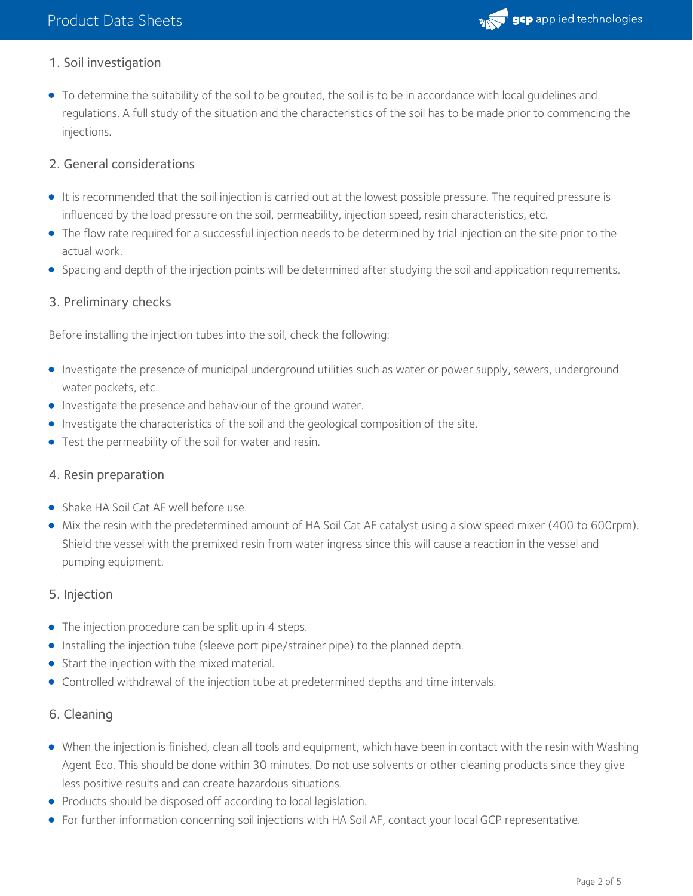

# 1. Soil investigation

To determine the suitability of the soil to be grouted, the soil is to be in accordance with local guidelines and regulations. A full study of the situation and the characteristics of the soil has to be made prior to commencing the injections.

## 2. General considerations

- It is recommended that the soil injection is carried out at the lowest possible pressure. The required pressure is influenced by the load pressure on the soil, permeability, injection speed, resin characteristics, etc.
- The flow rate required for a successful injection needs to be determined by trial injection on the site prior to the actual work.
- Spacing and depth of the injection points will be determined after studying the soil and application requirements.

## 3. Preliminary checks

Before installing the injection tubes into the soil, check the following:

- Investigate the presence of municipal underground utilities such as water or power supply, sewers, underground water pockets, etc.
- **Investigate the presence and behaviour of the ground water.**
- **Investigate the characteristics of the soil and the geological composition of the site.**
- Test the permeability of the soil for water and resin.

### 4. Resin preparation

- **Shake HA Soil Cat AF well before use.**
- Mix the resin with the predetermined amount of HA Soil Cat AF catalyst using a slow speed mixer (400 to 600rpm). Shield the vessel with the premixed resin from water ingress since this will cause a reaction in the vessel and pumping equipment.

### 5. Injection

- The injection procedure can be split up in 4 steps.
- **Installing the injection tube (sleeve port pipe/strainer pipe) to the planned depth.**
- Start the injection with the mixed material.
- Controlled withdrawal of the injection tube at predetermined depths and time intervals.

### 6. Cleaning

- When the injection is finished, clean all tools and equipment, which have been in contact with the resin with Washing Agent Eco. This should be done within 30 minutes. Do not use solvents or other cleaning products since they give less positive results and can create hazardous situations.
- Products should be disposed off according to local legislation.
- For further information concerning soil injections with HA Soil AF, contact your local GCP representative.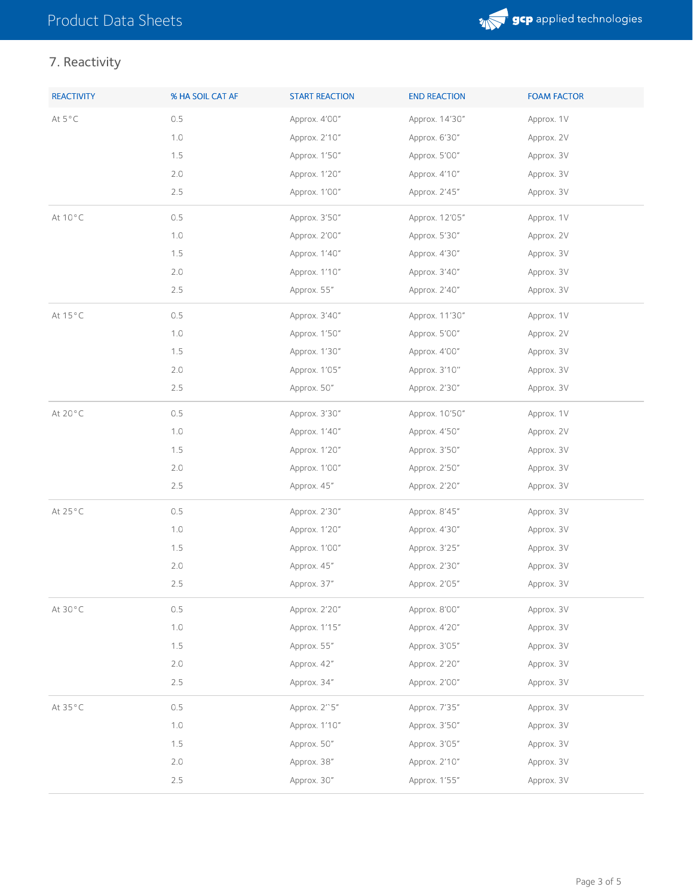

# 7. Reactivity

| <b>REACTIVITY</b> | % HA SOIL CAT AF | <b>START REACTION</b> | <b>END REACTION</b> | <b>FOAM FACTOR</b> |
|-------------------|------------------|-----------------------|---------------------|--------------------|
| At 5°C            | 0.5              | Approx. 4'00"         | Approx. 14'30"      | Approx. 1V         |
|                   | 1.0              | Approx. 2'10"         | Approx. 6'30"       | Approx. 2V         |
|                   | 1.5              | Approx. 1'50"         | Approx. 5'00"       | Approx. 3V         |
|                   | 2.0              | Approx. 1'20"         | Approx. 4'10"       | Approx. 3V         |
|                   | 2.5              | Approx. 1'00"         | Approx. 2'45"       | Approx. 3V         |
| At 10°C           | 0.5              | Approx. 3'50"         | Approx. 12'05"      | Approx. 1V         |
|                   | 1.0              | Approx. 2'00"         | Approx. 5'30"       | Approx. 2V         |
|                   | 1.5              | Approx. 1'40"         | Approx. 4'30"       | Approx. 3V         |
|                   | 2.0              | Approx. 1'10"         | Approx. 3'40"       | Approx. 3V         |
|                   | $2.5\,$          | Approx. 55"           | Approx. 2'40"       | Approx. 3V         |
| At 15°C           | 0.5              | Approx. 3'40"         | Approx. 11'30"      | Approx. 1V         |
|                   | 1.0              | Approx. 1'50"         | Approx. 5'00"       | Approx. 2V         |
|                   | 1.5              | Approx. 1'30"         | Approx. 4'00"       | Approx. 3V         |
|                   | 2.0              | Approx. 1'05"         | Approx. 3'10"       | Approx. 3V         |
|                   | 2.5              | Approx. 50"           | Approx. 2'30"       | Approx. 3V         |
| At 20°C           | 0.5              | Approx. 3'30"         | Approx. 10'50"      | Approx. 1V         |
|                   | 1.0              | Approx. 1'40"         | Approx. 4'50"       | Approx. 2V         |
|                   | 1.5              | Approx. 1'20"         | Approx. 3'50"       | Approx. 3V         |
|                   | 2.0              | Approx. 1'00"         | Approx. 2'50"       | Approx. 3V         |
|                   | 2.5              | Approx. 45"           | Approx. 2'20"       | Approx. 3V         |
| At 25°C           | 0.5              | Approx. 2'30"         | Approx. 8'45"       | Approx. 3V         |
|                   | 1.0              | Approx. 1'20"         | Approx. 4'30"       | Approx. 3V         |
|                   | 1.5              | Approx. 1'00"         | Approx. 3'25"       | Approx. 3V         |
|                   | 2.0              | Approx. 45"           | Approx. 2'30"       | Approx. 3V         |
|                   | 2.5              | Approx. 37"           | Approx. 2'05"       | Approx. 3V         |
| At 30°C           | 0.5              | Approx. 2'20"         | Approx. 8'00"       | Approx. 3V         |
|                   | 1.0              | Approx. 1'15"         | Approx. 4'20"       | Approx. 3V         |
|                   | 1.5              | Approx. 55"           | Approx. 3'05"       | Approx. 3V         |
|                   | 2.0              | Approx. 42"           | Approx. 2'20"       | Approx. 3V         |
|                   | 2.5              | Approx. 34"           | Approx. 2'00"       | Approx. 3V         |
| At 35°C           | 0.5              | Approx. 2"5"          | Approx. 7'35"       | Approx. 3V         |
|                   | 1.0              | Approx. 1'10"         | Approx. 3'50"       | Approx. 3V         |
|                   | 1.5              | Approx. 50"           | Approx. 3'05"       | Approx. 3V         |
|                   | 2.0              | Approx. 38"           | Approx. 2'10"       | Approx. 3V         |
|                   | $2.5$            | Approx. 30"           | Approx. 1'55"       | Approx. 3V         |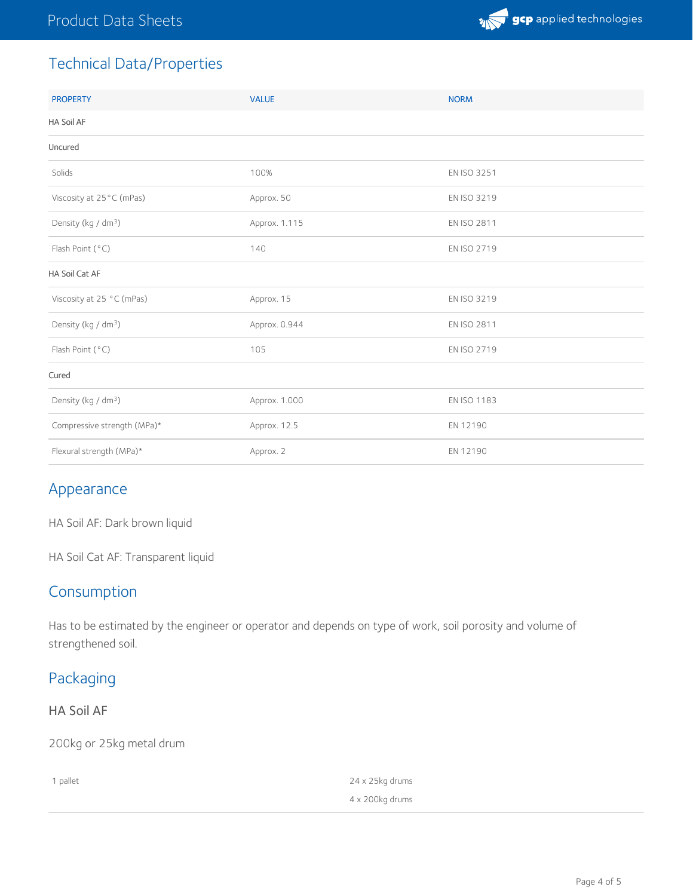

# Technical Data/Properties

| <b>PROPERTY</b>                 | <b>VALUE</b>  | <b>NORM</b> |
|---------------------------------|---------------|-------------|
| HA Soil AF                      |               |             |
| Uncured                         |               |             |
| Solids                          | 100%          | EN ISO 3251 |
| Viscosity at 25°C (mPas)        | Approx. 50    | EN ISO 3219 |
| Density (kg / dm <sup>3</sup> ) | Approx. 1.115 | EN ISO 2811 |
| Flash Point (°C)                | 140           | EN ISO 2719 |
| HA Soil Cat AF                  |               |             |
| Viscosity at 25 °C (mPas)       | Approx. 15    | EN ISO 3219 |
| Density (kg / dm <sup>3</sup> ) | Approx. 0.944 | EN ISO 2811 |
| Flash Point (°C)                | 105           | EN ISO 2719 |
| Cured                           |               |             |
| Density (kg / dm <sup>3</sup> ) | Approx. 1.000 | EN ISO 1183 |
| Compressive strength (MPa)*     | Approx. 12.5  | EN 12190    |
| Flexural strength (MPa)*        | Approx. 2     | EN 12190    |

# Appearance

HA Soil AF: Dark brown liquid

HA Soil Cat AF: Transparent liquid

# Consumption

Has to be estimated by the engineer or operator and depends on type of work, soil porosity and volume of strengthened soil.

# Packaging

## HA Soil AF

200kg or 25kg metal drum

| 1 pallet | 24 x 25kg drums |
|----------|-----------------|
|          | 4 x 200kg drums |